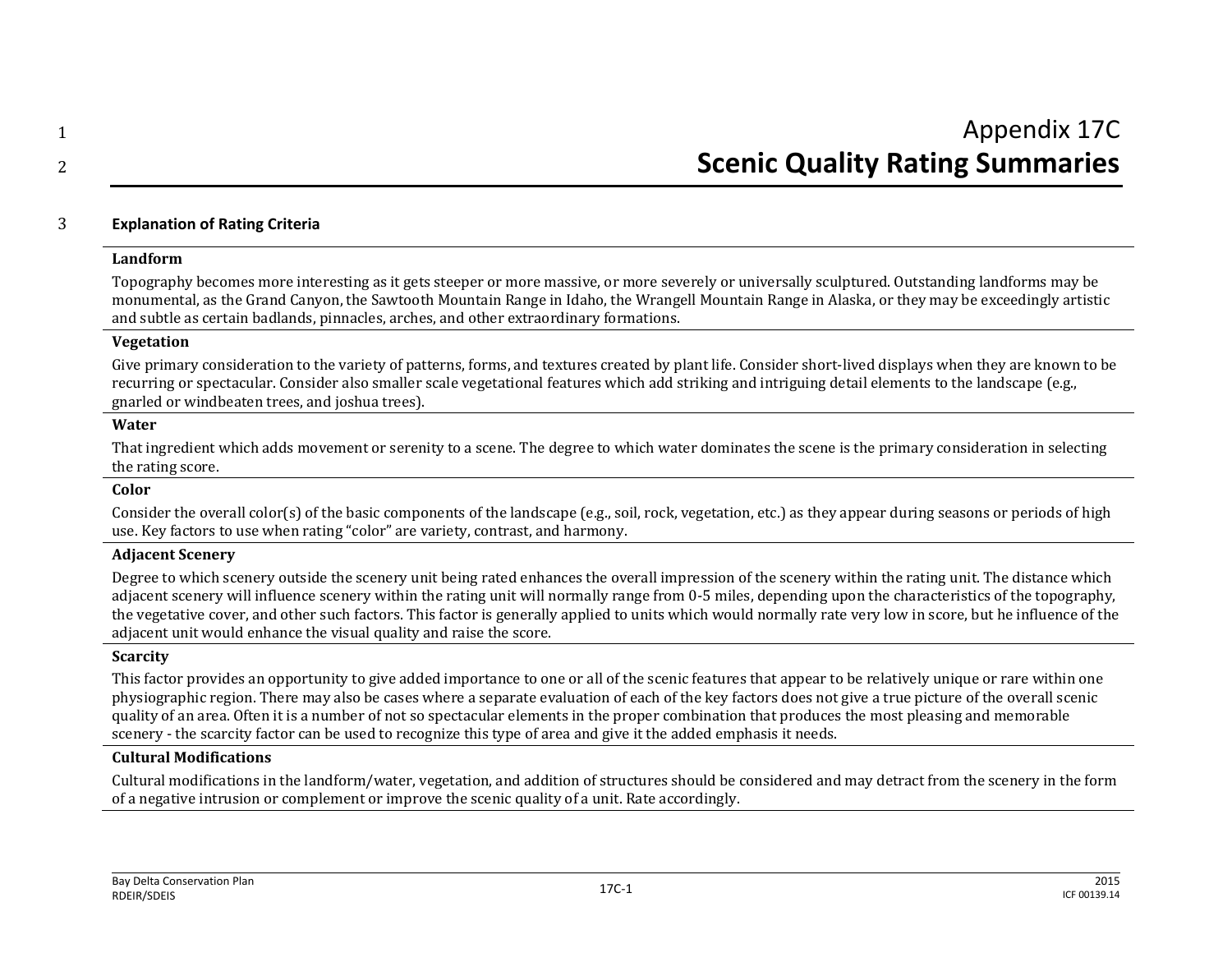# 3 **Explanation of Rating Criteria**

#### **Landform**

Topography becomes more interesting as it gets steeper or more massive, or more severely or universally sculptured. Outstanding landforms may be monumental, as the Grand Canyon, the Sawtooth Mountain Range in Idaho, the Wrangell Mountain Range in Alaska, or they may be exceedingly artistic and subtle as certain badlands, pinnacles, arches, and other extraordinary formations.

#### **Vegetation**

Give primary consideration to the variety of patterns, forms, and textures created by plant life. Consider short-lived displays when they are known to be recurring or spectacular. Consider also smaller scale vegetational features which add striking and intriguing detail elements to the landscape (e.g., gnarled or windbeaten trees, and joshua trees).

#### **Water**

That ingredient which adds movement or serenity to a scene. The degree to which water dominates the scene is the primary consideration in selecting the rating score.

#### **Color**

Consider the overall color(s) of the basic components of the landscape (e.g., soil, rock, vegetation, etc.) as they appear during seasons or periods of high use. Key factors to use when rating "color" are variety, contrast, and harmony.

### **Adjacent Scenery**

Degree to which scenery outside the scenery unit being rated enhances the overall impression of the scenery within the rating unit. The distance which adjacent scenery will influence scenery within the rating unit will normally range from 0-5 miles, depending upon the characteristics of the topography, the vegetative cover, and other such factors. This factor is generally applied to units which would normally rate very low in score, but he influence of the adjacent unit would enhance the visual quality and raise the score.

## **Scarcity**

This factor provides an opportunity to give added importance to one or all of the scenic features that appear to be relatively unique or rare within one physiographic region. There may also be cases where a separate evaluation of each of the key factors does not give a true picture of the overall scenic quality of an area. Often it is a number of not so spectacular elements in the proper combination that produces the most pleasing and memorable scenery - the scarcity factor can be used to recognize this type of area and give it the added emphasis it needs.

# **Cultural Modifications**

Cultural modifications in the landform/water, vegetation, and addition of structures should be considered and may detract from the scenery in the form of a negative intrusion or complement or improve the scenic quality of a unit. Rate accordingly.